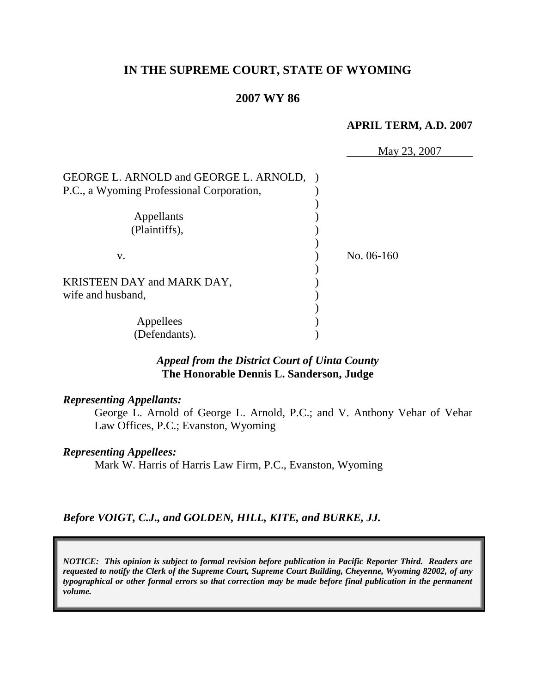# **IN THE SUPREME COURT, STATE OF WYOMING**

### **2007 WY 86**

#### **APRIL TERM, A.D. 2007**

|                                           | May 23, 2007 |
|-------------------------------------------|--------------|
| GEORGE L. ARNOLD and GEORGE L. ARNOLD,    |              |
| P.C., a Wyoming Professional Corporation, |              |
|                                           |              |
| Appellants                                |              |
| (Plaintiffs),                             |              |
|                                           |              |
| V.                                        | No. 06-160   |
|                                           |              |
| KRISTEEN DAY and MARK DAY,                |              |
| wife and husband,                         |              |
|                                           |              |
| Appellees                                 |              |
| (Defendants).                             |              |

## *Appeal from the District Court of Uinta County* **The Honorable Dennis L. Sanderson, Judge**

### *Representing Appellants:*

George L. Arnold of George L. Arnold, P.C.; and V. Anthony Vehar of Vehar Law Offices, P.C.; Evanston, Wyoming

### *Representing Appellees:*

Mark W. Harris of Harris Law Firm, P.C., Evanston, Wyoming

### *Before VOIGT, C.J., and GOLDEN, HILL, KITE, and BURKE, JJ.*

*NOTICE: This opinion is subject to formal revision before publication in Pacific Reporter Third. Readers are requested to notify the Clerk of the Supreme Court, Supreme Court Building, Cheyenne, Wyoming 82002, of any typographical or other formal errors so that correction may be made before final publication in the permanent volume.*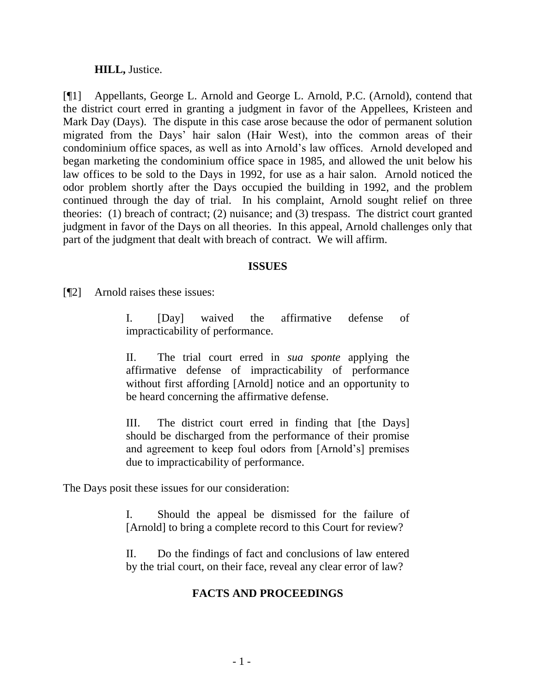### **HILL,** Justice.

[¶1] Appellants, George L. Arnold and George L. Arnold, P.C. (Arnold), contend that the district court erred in granting a judgment in favor of the Appellees, Kristeen and Mark Day (Days). The dispute in this case arose because the odor of permanent solution migrated from the Days' hair salon (Hair West), into the common areas of their condominium office spaces, as well as into Arnold's law offices. Arnold developed and began marketing the condominium office space in 1985, and allowed the unit below his law offices to be sold to the Days in 1992, for use as a hair salon. Arnold noticed the odor problem shortly after the Days occupied the building in 1992, and the problem continued through the day of trial. In his complaint, Arnold sought relief on three theories: (1) breach of contract; (2) nuisance; and (3) trespass. The district court granted judgment in favor of the Days on all theories. In this appeal, Arnold challenges only that part of the judgment that dealt with breach of contract. We will affirm.

### **ISSUES**

[¶2] Arnold raises these issues:

I. [Day] waived the affirmative defense of impracticability of performance.

II. The trial court erred in *sua sponte* applying the affirmative defense of impracticability of performance without first affording [Arnold] notice and an opportunity to be heard concerning the affirmative defense.

III. The district court erred in finding that [the Days] should be discharged from the performance of their promise and agreement to keep foul odors from [Arnold's] premises due to impracticability of performance.

The Days posit these issues for our consideration:

I. Should the appeal be dismissed for the failure of [Arnold] to bring a complete record to this Court for review?

II. Do the findings of fact and conclusions of law entered by the trial court, on their face, reveal any clear error of law?

## **FACTS AND PROCEEDINGS**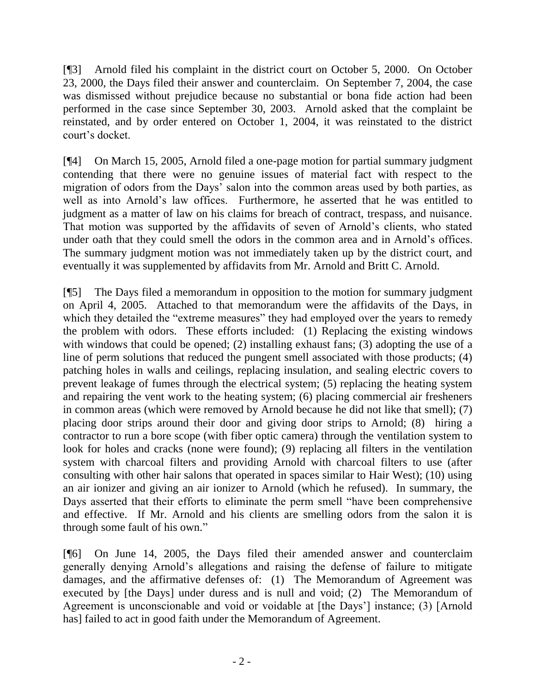[¶3] Arnold filed his complaint in the district court on October 5, 2000. On October 23, 2000, the Days filed their answer and counterclaim. On September 7, 2004, the case was dismissed without prejudice because no substantial or bona fide action had been performed in the case since September 30, 2003. Arnold asked that the complaint be reinstated, and by order entered on October 1, 2004, it was reinstated to the district court's docket.

[¶4] On March 15, 2005, Arnold filed a one-page motion for partial summary judgment contending that there were no genuine issues of material fact with respect to the migration of odors from the Days' salon into the common areas used by both parties, as well as into Arnold's law offices. Furthermore, he asserted that he was entitled to judgment as a matter of law on his claims for breach of contract, trespass, and nuisance. That motion was supported by the affidavits of seven of Arnold's clients, who stated under oath that they could smell the odors in the common area and in Arnold's offices. The summary judgment motion was not immediately taken up by the district court, and eventually it was supplemented by affidavits from Mr. Arnold and Britt C. Arnold.

[¶5] The Days filed a memorandum in opposition to the motion for summary judgment on April 4, 2005. Attached to that memorandum were the affidavits of the Days, in which they detailed the "extreme measures" they had employed over the years to remedy the problem with odors. These efforts included: (1) Replacing the existing windows with windows that could be opened; (2) installing exhaust fans; (3) adopting the use of a line of perm solutions that reduced the pungent smell associated with those products; (4) patching holes in walls and ceilings, replacing insulation, and sealing electric covers to prevent leakage of fumes through the electrical system; (5) replacing the heating system and repairing the vent work to the heating system; (6) placing commercial air fresheners in common areas (which were removed by Arnold because he did not like that smell); (7) placing door strips around their door and giving door strips to Arnold; (8) hiring a contractor to run a bore scope (with fiber optic camera) through the ventilation system to look for holes and cracks (none were found); (9) replacing all filters in the ventilation system with charcoal filters and providing Arnold with charcoal filters to use (after consulting with other hair salons that operated in spaces similar to Hair West); (10) using an air ionizer and giving an air ionizer to Arnold (which he refused). In summary, the Days asserted that their efforts to eliminate the perm smell "have been comprehensive and effective. If Mr. Arnold and his clients are smelling odors from the salon it is through some fault of his own."

[¶6] On June 14, 2005, the Days filed their amended answer and counterclaim generally denying Arnold's allegations and raising the defense of failure to mitigate damages, and the affirmative defenses of: (1) The Memorandum of Agreement was executed by [the Days] under duress and is null and void; (2) The Memorandum of Agreement is unconscionable and void or voidable at [the Days'] instance; (3) [Arnold has] failed to act in good faith under the Memorandum of Agreement.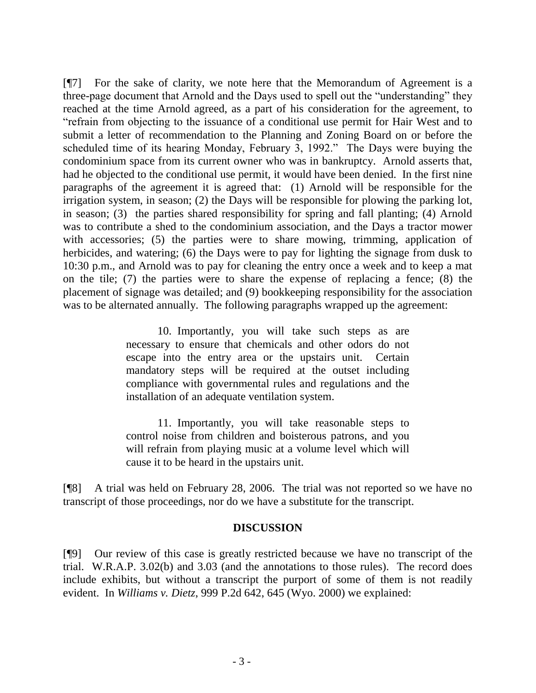[¶7] For the sake of clarity, we note here that the Memorandum of Agreement is a three-page document that Arnold and the Days used to spell out the "understanding" they reached at the time Arnold agreed, as a part of his consideration for the agreement, to "refrain from objecting to the issuance of a conditional use permit for Hair West and to submit a letter of recommendation to the Planning and Zoning Board on or before the scheduled time of its hearing Monday, February 3, 1992." The Days were buying the condominium space from its current owner who was in bankruptcy. Arnold asserts that, had he objected to the conditional use permit, it would have been denied. In the first nine paragraphs of the agreement it is agreed that: (1) Arnold will be responsible for the irrigation system, in season; (2) the Days will be responsible for plowing the parking lot, in season; (3) the parties shared responsibility for spring and fall planting; (4) Arnold was to contribute a shed to the condominium association, and the Days a tractor mower with accessories; (5) the parties were to share mowing, trimming, application of herbicides, and watering; (6) the Days were to pay for lighting the signage from dusk to 10:30 p.m., and Arnold was to pay for cleaning the entry once a week and to keep a mat on the tile; (7) the parties were to share the expense of replacing a fence; (8) the placement of signage was detailed; and (9) bookkeeping responsibility for the association was to be alternated annually. The following paragraphs wrapped up the agreement:

> 10. Importantly, you will take such steps as are necessary to ensure that chemicals and other odors do not escape into the entry area or the upstairs unit. Certain mandatory steps will be required at the outset including compliance with governmental rules and regulations and the installation of an adequate ventilation system.

> 11. Importantly, you will take reasonable steps to control noise from children and boisterous patrons, and you will refrain from playing music at a volume level which will cause it to be heard in the upstairs unit.

[¶8] A trial was held on February 28, 2006. The trial was not reported so we have no transcript of those proceedings, nor do we have a substitute for the transcript.

### **DISCUSSION**

[¶9] Our review of this case is greatly restricted because we have no transcript of the trial. W.R.A.P. 3.02(b) and 3.03 (and the annotations to those rules). The record does include exhibits, but without a transcript the purport of some of them is not readily evident. In *Williams v. Dietz*, 999 P.2d 642, 645 (Wyo. 2000) we explained: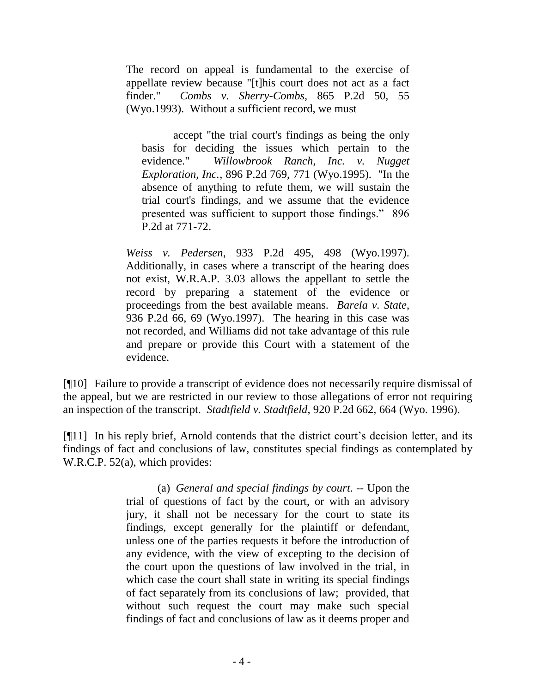The record on appeal is fundamental to the exercise of appellate review because "[t]his court does not act as a fact finder." *Combs v. Sherry-Combs*, 865 P.2d 50, 55 (Wyo.1993). Without a sufficient record, we must

accept "the trial court's findings as being the only basis for deciding the issues which pertain to the evidence." *Willowbrook Ranch, Inc. v. Nugget Exploration, Inc.*, 896 P.2d 769, 771 (Wyo.1995). "In the absence of anything to refute them, we will sustain the trial court's findings, and we assume that the evidence presented was sufficient to support those findings." 896 P.2d at 771-72.

*Weiss v. Pedersen*, 933 P.2d 495, 498 (Wyo.1997). Additionally, in cases where a transcript of the hearing does not exist, W.R.A.P. 3.03 allows the appellant to settle the record by preparing a statement of the evidence or proceedings from the best available means. *Barela v. State*, 936 P.2d 66, 69 (Wyo.1997). The hearing in this case was not recorded, and Williams did not take advantage of this rule and prepare or provide this Court with a statement of the evidence.

[¶10] Failure to provide a transcript of evidence does not necessarily require dismissal of the appeal, but we are restricted in our review to those allegations of error not requiring an inspection of the transcript. *Stadtfield v. Stadtfield*, 920 P.2d 662, 664 (Wyo. 1996).

[¶11] In his reply brief, Arnold contends that the district court's decision letter, and its findings of fact and conclusions of law, constitutes special findings as contemplated by W.R.C.P. 52(a), which provides:

> (a) *General and special findings by court*. -- Upon the trial of questions of fact by the court, or with an advisory jury, it shall not be necessary for the court to state its findings, except generally for the plaintiff or defendant, unless one of the parties requests it before the introduction of any evidence, with the view of excepting to the decision of the court upon the questions of law involved in the trial, in which case the court shall state in writing its special findings of fact separately from its conclusions of law; provided, that without such request the court may make such special findings of fact and conclusions of law as it deems proper and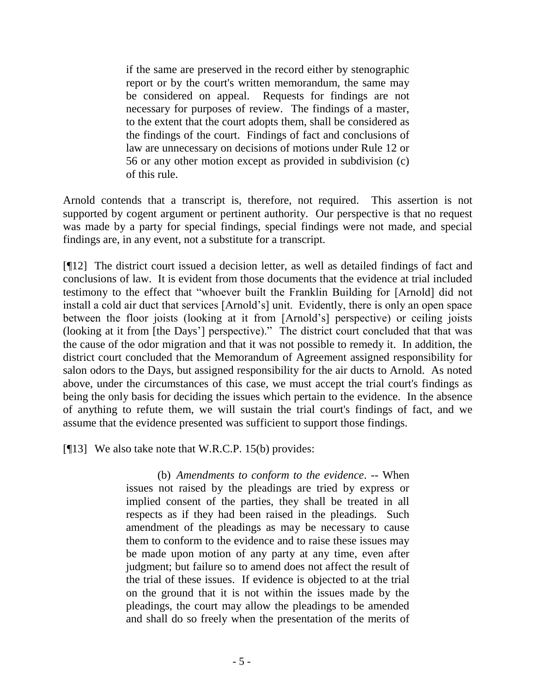if the same are preserved in the record either by stenographic report or by the court's written memorandum, the same may be considered on appeal. Requests for findings are not necessary for purposes of review. The findings of a master, to the extent that the court adopts them, shall be considered as the findings of the court. Findings of fact and conclusions of law are unnecessary on decisions of motions under Rule 12 or 56 or any other motion except as provided in subdivision (c) of this rule.

Arnold contends that a transcript is, therefore, not required. This assertion is not supported by cogent argument or pertinent authority. Our perspective is that no request was made by a party for special findings, special findings were not made, and special findings are, in any event, not a substitute for a transcript.

[¶12] The district court issued a decision letter, as well as detailed findings of fact and conclusions of law. It is evident from those documents that the evidence at trial included testimony to the effect that "whoever built the Franklin Building for [Arnold] did not install a cold air duct that services [Arnold's] unit. Evidently, there is only an open space between the floor joists (looking at it from [Arnold's] perspective) or ceiling joists (looking at it from [the Days'] perspective)." The district court concluded that that was the cause of the odor migration and that it was not possible to remedy it. In addition, the district court concluded that the Memorandum of Agreement assigned responsibility for salon odors to the Days, but assigned responsibility for the air ducts to Arnold. As noted above, under the circumstances of this case, we must accept the trial court's findings as being the only basis for deciding the issues which pertain to the evidence. In the absence of anything to refute them, we will sustain the trial court's findings of fact, and we assume that the evidence presented was sufficient to support those findings.

[¶13] We also take note that W.R.C.P. 15(b) provides:

(b) *Amendments to conform to the evidence*. -- When issues not raised by the pleadings are tried by express or implied consent of the parties, they shall be treated in all respects as if they had been raised in the pleadings. Such amendment of the pleadings as may be necessary to cause them to conform to the evidence and to raise these issues may be made upon motion of any party at any time, even after judgment; but failure so to amend does not affect the result of the trial of these issues. If evidence is objected to at the trial on the ground that it is not within the issues made by the pleadings, the court may allow the pleadings to be amended and shall do so freely when the presentation of the merits of